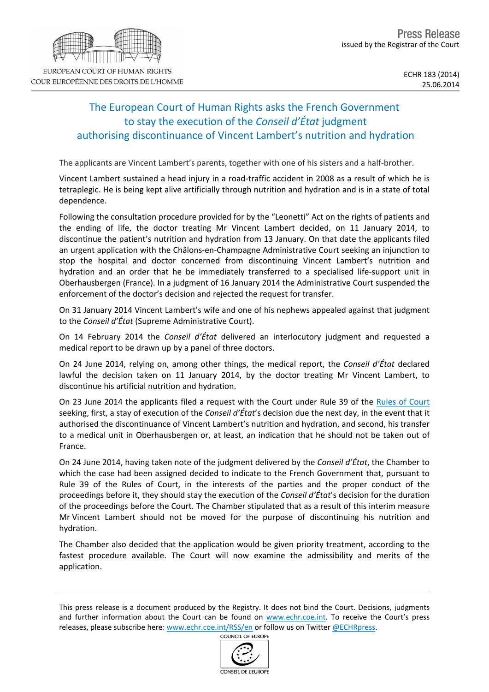## The European Court of Human Rights asks the French Government to stay the execution of the *Conseil d'État* judgment authorising discontinuance of Vincent Lambert's nutrition and hydration

The applicants are Vincent Lambert's parents, together with one of his sisters and a half-brother.

Vincent Lambert sustained a head injury in a road-traffic accident in 2008 as a result of which he is tetraplegic. He is being kept alive artificially through nutrition and hydration and is in a state of total dependence.

Following the consultation procedure provided for by the "Leonetti" Act on the rights of patients and the ending of life, the doctor treating Mr Vincent Lambert decided, on 11 January 2014, to discontinue the patient's nutrition and hydration from 13 January. On that date the applicants filed an urgent application with the Châlons-en-Champagne Administrative Court seeking an injunction to stop the hospital and doctor concerned from discontinuing Vincent Lambert's nutrition and hydration and an order that he be immediately transferred to a specialised life-support unit in Oberhausbergen (France). In a judgment of 16 January 2014 the Administrative Court suspended the enforcement of the doctor's decision and rejected the request for transfer.

On 31 January 2014 Vincent Lambert's wife and one of his nephews appealed against that judgment to the *Conseil d'État* (Supreme Administrative Court).

On 14 February 2014 the *Conseil d'État* delivered an interlocutory judgment and requested a medical report to be drawn up by a panel of three doctors.

On 24 June 2014, relying on, among other things, the medical report, the *Conseil d'État* declared lawful the decision taken on 11 January 2014, by the doctor treating Mr Vincent Lambert, to discontinue his artificial nutrition and hydration.

On 23 June 2014 the applicants filed a request with the Court under Rule 39 of the [Rules](http://www.echr.coe.int/Documents/Rules_Court_ENG.pdf) [of](http://www.echr.coe.int/Documents/Rules_Court_ENG.pdf) [Court](http://www.echr.coe.int/Documents/Rules_Court_ENG.pdf) seeking, first, a stay of execution of the *Conseil d'État*'s decision due the next day, in the event that it authorised the discontinuance of Vincent Lambert's nutrition and hydration, and second, his transfer to a medical unit in Oberhausbergen or, at least, an indication that he should not be taken out of France.

On 24 June 2014, having taken note of the judgment delivered by the *Conseil d'État*, the Chamber to which the case had been assigned decided to indicate to the French Government that, pursuant to Rule 39 of the Rules of Court, in the interests of the parties and the proper conduct of the proceedings before it, they should stay the execution of the *Conseil d'État*'s decision for the duration of the proceedings before the Court. The Chamber stipulated that as a result of this interim measure Mr Vincent Lambert should not be moved for the purpose of discontinuing his nutrition and hydration.

The Chamber also decided that the application would be given priority treatment, according to the fastest procedure available. The Court will now examine the admissibility and merits of the application.

This press release is a document produced by the Registry. It does not bind the Court. Decisions, judgments and further information about the Court can be found on [www.echr.coe.int.](http://www.echr.coe.int/) To receive the Court's press releases, please subscribe here: [www.echr.coe.int/RSS/en](http://www.echr.coe.int/RSS/en) or follow us on Twitter [@ECHRpress](https://twitter.com/ECHR_Press).



**COUNCIL OF EUROPE**